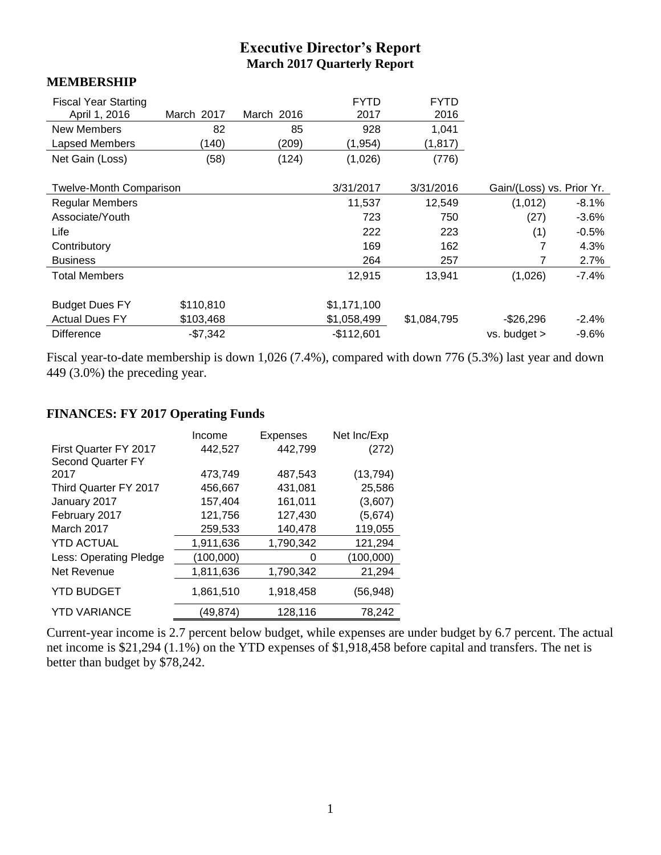# **Executive Director's Report March 2017 Quarterly Report**

#### **MEMBERSHIP**

| <b>Fiscal Year Starting</b><br>April 1, 2016 | March 2017 | March 2016 | <b>FYTD</b><br>2017 | <b>FYTD</b><br>2016 |                           |         |
|----------------------------------------------|------------|------------|---------------------|---------------------|---------------------------|---------|
| New Members                                  | 82         | 85         | 928                 | 1,041               |                           |         |
| Lapsed Members                               | (140)      | (209)      | (1, 954)            | (1, 817)            |                           |         |
| Net Gain (Loss)                              | (58)       | (124)      | (1,026)             | (776)               |                           |         |
|                                              |            |            |                     |                     |                           |         |
| <b>Twelve-Month Comparison</b>               |            |            | 3/31/2017           | 3/31/2016           | Gain/(Loss) vs. Prior Yr. |         |
| <b>Regular Members</b>                       |            |            | 11,537              | 12,549              | (1,012)                   | $-8.1%$ |
| Associate/Youth                              |            |            | 723                 | 750                 | (27)                      | $-3.6%$ |
| Life                                         |            |            | 222                 | 223                 | (1)                       | $-0.5%$ |
| Contributory                                 |            |            | 169                 | 162                 |                           | 4.3%    |
| <b>Business</b>                              |            |            | 264                 | 257                 |                           | $2.7\%$ |
| <b>Total Members</b>                         |            |            | 12,915              | 13,941              | (1,026)                   | $-7.4%$ |
|                                              |            |            |                     |                     |                           |         |
| <b>Budget Dues FY</b>                        | \$110,810  |            | \$1,171,100         |                     |                           |         |
| <b>Actual Dues FY</b>                        | \$103,468  |            | \$1,058,499         | \$1,084,795         | $-$26,296$                | $-2.4%$ |
| <b>Difference</b>                            | $-$7,342$  |            | $-$112,601$         |                     | $vs.$ budget $>$          | $-9.6%$ |

Fiscal year-to-date membership is down 1,026 (7.4%), compared with down 776 (5.3%) last year and down 449 (3.0%) the preceding year.

#### **FINANCES: FY 2017 Operating Funds**

|                                                          | Income    | Expenses  | Net Inc/Exp |
|----------------------------------------------------------|-----------|-----------|-------------|
| <b>First Quarter FY 2017</b><br><b>Second Quarter FY</b> | 442,527   | 442,799   | (272)       |
| 2017                                                     | 473,749   | 487,543   | (13, 794)   |
| Third Quarter FY 2017                                    | 456,667   | 431,081   | 25,586      |
| January 2017                                             | 157,404   | 161,011   | (3,607)     |
| February 2017                                            | 121,756   | 127,430   | (5,674)     |
| March 2017                                               | 259,533   | 140,478   | 119,055     |
| <b>YTD ACTUAL</b>                                        | 1,911,636 | 1,790,342 | 121,294     |
| Less: Operating Pledge                                   | (100,000) | 0         | (100,000)   |
| Net Revenue                                              | 1,811,636 | 1,790,342 | 21,294      |
| <b>YTD BUDGET</b>                                        | 1,861,510 | 1,918,458 | (56, 948)   |
| <b>YTD VARIANCE</b>                                      | (49,874)  | 128,116   | 78,242      |

Current-year income is 2.7 percent below budget, while expenses are under budget by 6.7 percent. The actual net income is \$21,294 (1.1%) on the YTD expenses of \$1,918,458 before capital and transfers. The net is better than budget by \$78,242.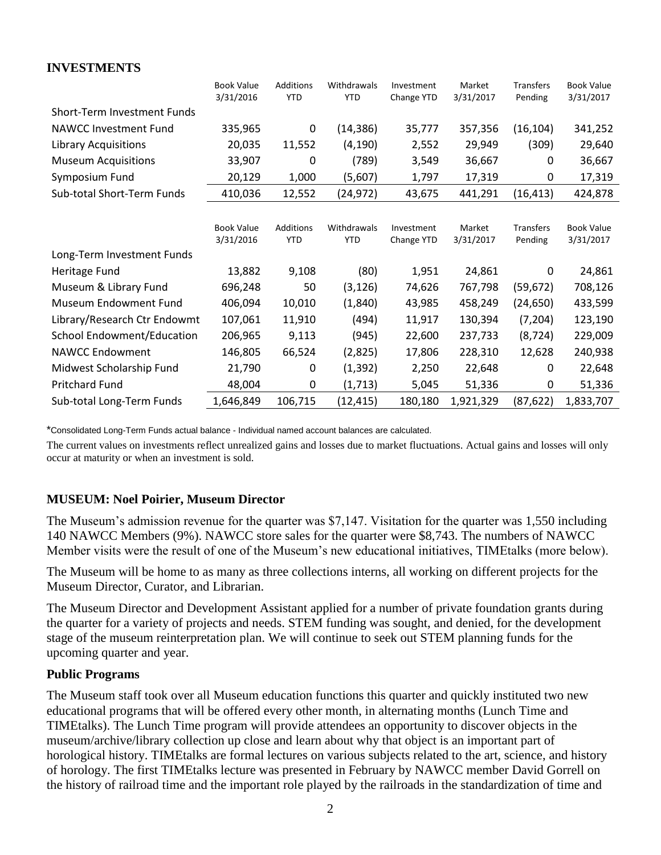## **INVESTMENTS**

|                                   | <b>Book Value</b><br>3/31/2016 | <b>Additions</b><br><b>YTD</b> | Withdrawals<br><b>YTD</b> | Investment<br>Change YTD | Market<br>3/31/2017 | <b>Transfers</b><br>Pending | <b>Book Value</b><br>3/31/2017 |
|-----------------------------------|--------------------------------|--------------------------------|---------------------------|--------------------------|---------------------|-----------------------------|--------------------------------|
| Short-Term Investment Funds       |                                |                                |                           |                          |                     |                             |                                |
| <b>NAWCC Investment Fund</b>      | 335,965                        | $\mathbf 0$                    | (14, 386)                 | 35,777                   | 357,356             | (16, 104)                   | 341,252                        |
| <b>Library Acquisitions</b>       | 20,035                         | 11,552                         | (4, 190)                  | 2,552                    | 29,949              | (309)                       | 29,640                         |
| <b>Museum Acquisitions</b>        | 33,907                         | 0                              | (789)                     | 3,549                    | 36,667              | 0                           | 36,667                         |
| Symposium Fund                    | 20,129                         | 1,000                          | (5,607)                   | 1,797                    | 17,319              | 0                           | 17,319                         |
| Sub-total Short-Term Funds        | 410,036                        | 12,552                         | (24, 972)                 | 43,675                   | 441,291             | (16, 413)                   | 424,878                        |
|                                   |                                |                                |                           |                          |                     |                             |                                |
|                                   | <b>Book Value</b><br>3/31/2016 | Additions<br><b>YTD</b>        | Withdrawals<br><b>YTD</b> | Investment<br>Change YTD | Market<br>3/31/2017 | <b>Transfers</b><br>Pending | <b>Book Value</b><br>3/31/2017 |
| Long-Term Investment Funds        |                                |                                |                           |                          |                     |                             |                                |
| Heritage Fund                     | 13,882                         | 9,108                          | (80)                      | 1,951                    | 24,861              | 0                           | 24,861                         |
| Museum & Library Fund             | 696,248                        | 50                             | (3, 126)                  | 74,626                   | 767,798             | (59, 672)                   | 708,126                        |
| Museum Endowment Fund             | 406,094                        | 10,010                         | (1,840)                   | 43,985                   | 458,249             | (24, 650)                   | 433,599                        |
| Library/Research Ctr Endowmt      | 107,061                        | 11,910                         | (494)                     | 11,917                   | 130,394             | (7, 204)                    | 123,190                        |
| <b>School Endowment/Education</b> | 206,965                        | 9,113                          | (945)                     | 22,600                   | 237,733             | (8, 724)                    | 229,009                        |
| <b>NAWCC Endowment</b>            | 146,805                        | 66,524                         | (2,825)                   | 17,806                   | 228,310             | 12,628                      | 240,938                        |
| Midwest Scholarship Fund          | 21,790                         | 0                              | (1, 392)                  | 2,250                    | 22,648              | 0                           | 22,648                         |
| <b>Pritchard Fund</b>             | 48,004                         | 0                              | (1, 713)                  | 5,045                    | 51,336              | 0                           | 51,336                         |
| Sub-total Long-Term Funds         | 1,646,849                      | 106,715                        | (12, 415)                 | 180,180                  | 1,921,329           | (87, 622)                   | 1,833,707                      |

\*Consolidated Long-Term Funds actual balance - Individual named account balances are calculated.

The current values on investments reflect unrealized gains and losses due to market fluctuations. Actual gains and losses will only occur at maturity or when an investment is sold.

## **MUSEUM: Noel Poirier, Museum Director**

The Museum's admission revenue for the quarter was \$7,147. Visitation for the quarter was 1,550 including 140 NAWCC Members (9%). NAWCC store sales for the quarter were \$8,743. The numbers of NAWCC Member visits were the result of one of the Museum's new educational initiatives, TIMEtalks (more below).

The Museum will be home to as many as three collections interns, all working on different projects for the Museum Director, Curator, and Librarian.

The Museum Director and Development Assistant applied for a number of private foundation grants during the quarter for a variety of projects and needs. STEM funding was sought, and denied, for the development stage of the museum reinterpretation plan. We will continue to seek out STEM planning funds for the upcoming quarter and year.

#### **Public Programs**

The Museum staff took over all Museum education functions this quarter and quickly instituted two new educational programs that will be offered every other month, in alternating months (Lunch Time and TIMEtalks). The Lunch Time program will provide attendees an opportunity to discover objects in the museum/archive/library collection up close and learn about why that object is an important part of horological history. TIMEtalks are formal lectures on various subjects related to the art, science, and history of horology. The first TIMEtalks lecture was presented in February by NAWCC member David Gorrell on the history of railroad time and the important role played by the railroads in the standardization of time and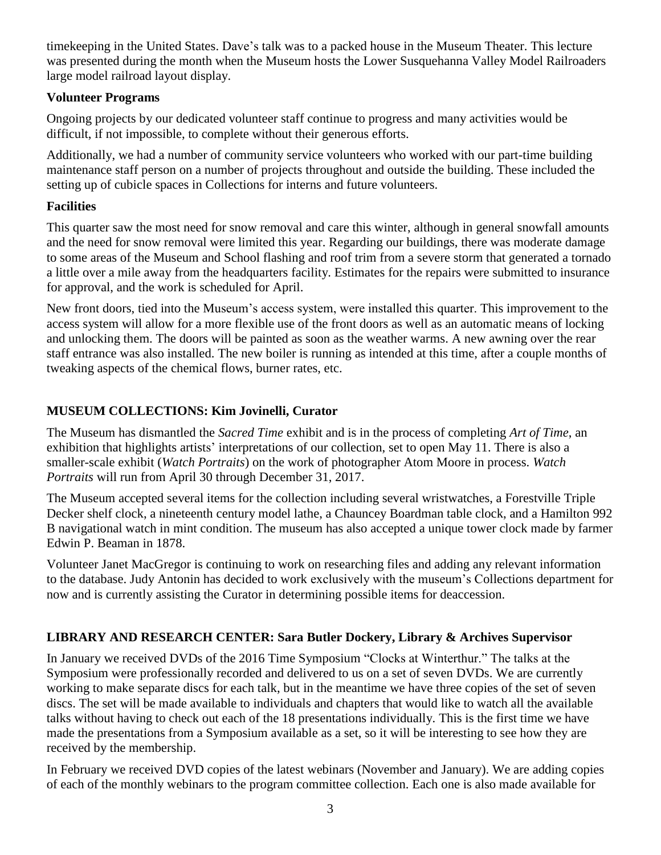timekeeping in the United States. Dave's talk was to a packed house in the Museum Theater. This lecture was presented during the month when the Museum hosts the Lower Susquehanna Valley Model Railroaders large model railroad layout display.

## **Volunteer Programs**

Ongoing projects by our dedicated volunteer staff continue to progress and many activities would be difficult, if not impossible, to complete without their generous efforts.

Additionally, we had a number of community service volunteers who worked with our part-time building maintenance staff person on a number of projects throughout and outside the building. These included the setting up of cubicle spaces in Collections for interns and future volunteers.

## **Facilities**

This quarter saw the most need for snow removal and care this winter, although in general snowfall amounts and the need for snow removal were limited this year. Regarding our buildings, there was moderate damage to some areas of the Museum and School flashing and roof trim from a severe storm that generated a tornado a little over a mile away from the headquarters facility. Estimates for the repairs were submitted to insurance for approval, and the work is scheduled for April.

New front doors, tied into the Museum's access system, were installed this quarter. This improvement to the access system will allow for a more flexible use of the front doors as well as an automatic means of locking and unlocking them. The doors will be painted as soon as the weather warms. A new awning over the rear staff entrance was also installed. The new boiler is running as intended at this time, after a couple months of tweaking aspects of the chemical flows, burner rates, etc.

# **MUSEUM COLLECTIONS: Kim Jovinelli, Curator**

The Museum has dismantled the *Sacred Time* exhibit and is in the process of completing *Art of Time*, an exhibition that highlights artists' interpretations of our collection, set to open May 11. There is also a smaller-scale exhibit (*Watch Portraits*) on the work of photographer Atom Moore in process. *Watch Portraits* will run from April 30 through December 31, 2017.

The Museum accepted several items for the collection including several wristwatches, a Forestville Triple Decker shelf clock, a nineteenth century model lathe, a Chauncey Boardman table clock, and a Hamilton 992 B navigational watch in mint condition. The museum has also accepted a unique tower clock made by farmer Edwin P. Beaman in 1878.

Volunteer Janet MacGregor is continuing to work on researching files and adding any relevant information to the database. Judy Antonin has decided to work exclusively with the museum's Collections department for now and is currently assisting the Curator in determining possible items for deaccession.

# **LIBRARY AND RESEARCH CENTER: Sara Butler Dockery, Library & Archives Supervisor**

In January we received DVDs of the 2016 Time Symposium "Clocks at Winterthur." The talks at the Symposium were professionally recorded and delivered to us on a set of seven DVDs. We are currently working to make separate discs for each talk, but in the meantime we have three copies of the set of seven discs. The set will be made available to individuals and chapters that would like to watch all the available talks without having to check out each of the 18 presentations individually. This is the first time we have made the presentations from a Symposium available as a set, so it will be interesting to see how they are received by the membership.

In February we received DVD copies of the latest webinars (November and January). We are adding copies of each of the monthly webinars to the program committee collection. Each one is also made available for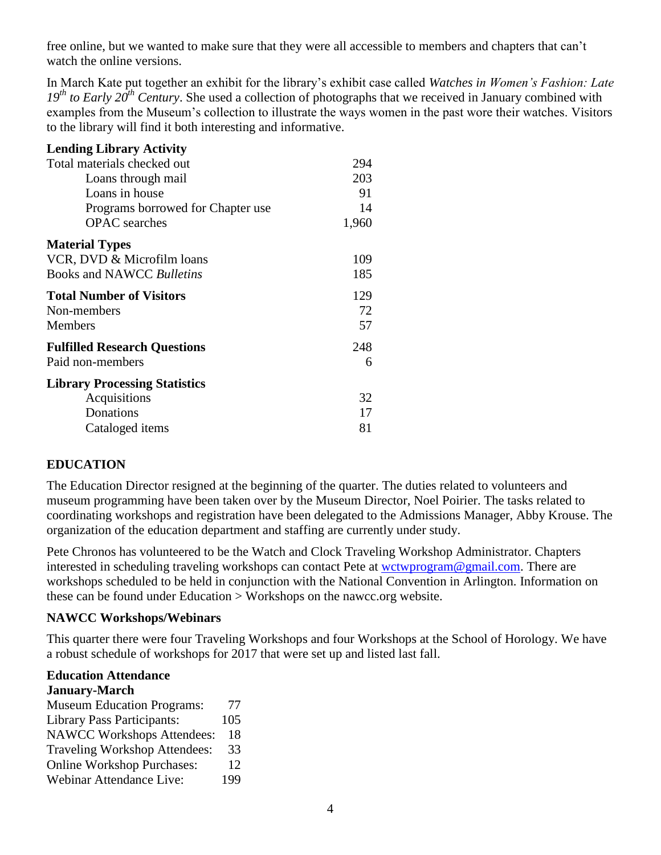free online, but we wanted to make sure that they were all accessible to members and chapters that can't watch the online versions.

In March Kate put together an exhibit for the library's exhibit case called *Watches in Women's Fashion: Late 19th to Early 20th Century*. She used a collection of photographs that we received in January combined with examples from the Museum's collection to illustrate the ways women in the past wore their watches. Visitors to the library will find it both interesting and informative.

| <b>Lending Library Activity</b>      |       |
|--------------------------------------|-------|
| Total materials checked out          | 294   |
| Loans through mail                   | 203   |
| Loans in house                       | 91    |
| Programs borrowed for Chapter use    | 14    |
| <b>OPAC</b> searches                 | 1,960 |
| <b>Material Types</b>                |       |
| VCR, DVD & Microfilm loans           | 109   |
| Books and NAWCC Bulletins            | 185   |
| <b>Total Number of Visitors</b>      | 129   |
| Non-members                          | 72    |
| <b>Members</b>                       | 57    |
| <b>Fulfilled Research Questions</b>  | 248   |
| Paid non-members                     | 6     |
| <b>Library Processing Statistics</b> |       |
| Acquisitions                         | 32    |
| Donations                            | 17    |
| Cataloged <i>items</i>               | 81    |

## **EDUCATION**

The Education Director resigned at the beginning of the quarter. The duties related to volunteers and museum programming have been taken over by the Museum Director, Noel Poirier. The tasks related to coordinating workshops and registration have been delegated to the Admissions Manager, Abby Krouse. The organization of the education department and staffing are currently under study.

Pete Chronos has volunteered to be the Watch and Clock Traveling Workshop Administrator. Chapters interested in scheduling traveling workshops can contact Pete at [wctwprogram@gmail.com.](mailto:wctwprogram@gmail.com) There are workshops scheduled to be held in conjunction with the National Convention in Arlington. Information on these can be found under Education > Workshops on the nawcc.org website.

#### **NAWCC Workshops/Webinars**

This quarter there were four Traveling Workshops and four Workshops at the School of Horology. We have a robust schedule of workshops for 2017 that were set up and listed last fall.

#### **Education Attendance January-March**

Museum Education Programs: 77 Library Pass Participants: 105 NAWCC Workshops Attendees: 18 Traveling Workshop Attendees: 33 Online Workshop Purchases: 12 Webinar Attendance Live: 199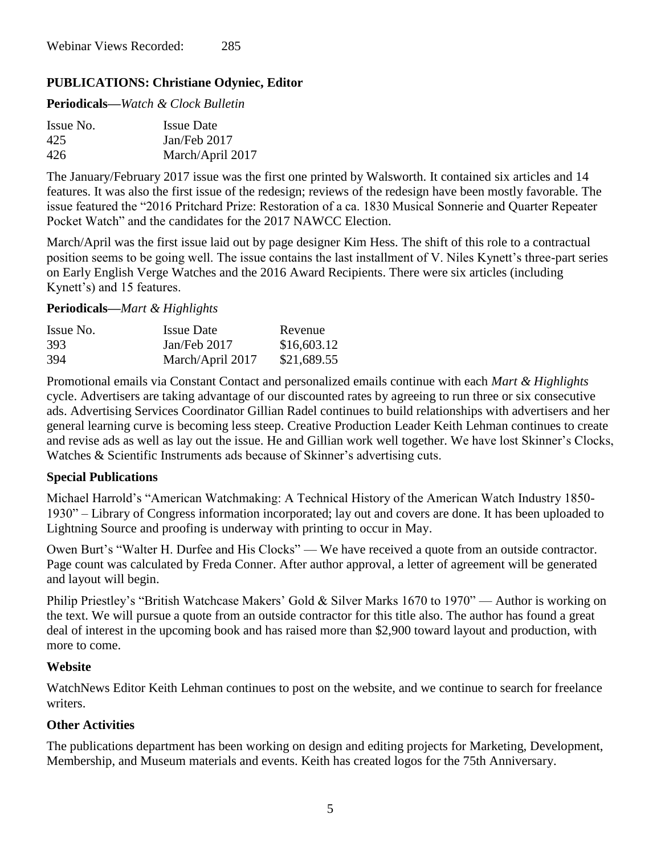# **PUBLICATIONS: Christiane Odyniec, Editor**

**Periodicals—***Watch & Clock Bulletin*

| Issue No. | <b>Issue Date</b> |
|-----------|-------------------|
| 425       | Jan/Feb 2017      |
| 426       | March/April 2017  |

The January/February 2017 issue was the first one printed by Walsworth. It contained six articles and 14 features. It was also the first issue of the redesign; reviews of the redesign have been mostly favorable. The issue featured the "2016 Pritchard Prize: Restoration of a ca. 1830 Musical Sonnerie and Quarter Repeater Pocket Watch" and the candidates for the 2017 NAWCC Election.

March/April was the first issue laid out by page designer Kim Hess. The shift of this role to a contractual position seems to be going well. The issue contains the last installment of V. Niles Kynett's three-part series on Early English Verge Watches and the 2016 Award Recipients. There were six articles (including Kynett's) and 15 features.

#### **Periodicals—***Mart & Highlights*

| Issue No. | <b>Issue Date</b> | Revenue     |
|-----------|-------------------|-------------|
| 393       | Jan/Feb 2017      | \$16,603.12 |
| 394       | March/April 2017  | \$21,689.55 |

Promotional emails via Constant Contact and personalized emails continue with each *Mart & Highlights* cycle. Advertisers are taking advantage of our discounted rates by agreeing to run three or six consecutive ads. Advertising Services Coordinator Gillian Radel continues to build relationships with advertisers and her general learning curve is becoming less steep. Creative Production Leader Keith Lehman continues to create and revise ads as well as lay out the issue. He and Gillian work well together. We have lost Skinner's Clocks, Watches & Scientific Instruments ads because of Skinner's advertising cuts.

## **Special Publications**

Michael Harrold's "American Watchmaking: A Technical History of the American Watch Industry 1850- 1930" – Library of Congress information incorporated; lay out and covers are done. It has been uploaded to Lightning Source and proofing is underway with printing to occur in May.

Owen Burt's "Walter H. Durfee and His Clocks" — We have received a quote from an outside contractor. Page count was calculated by Freda Conner. After author approval, a letter of agreement will be generated and layout will begin.

Philip Priestley's "British Watchcase Makers' Gold & Silver Marks 1670 to 1970" — Author is working on the text. We will pursue a quote from an outside contractor for this title also. The author has found a great deal of interest in the upcoming book and has raised more than \$2,900 toward layout and production, with more to come.

## **Website**

WatchNews Editor Keith Lehman continues to post on the website, and we continue to search for freelance writers.

## **Other Activities**

The publications department has been working on design and editing projects for Marketing, Development, Membership, and Museum materials and events. Keith has created logos for the 75th Anniversary.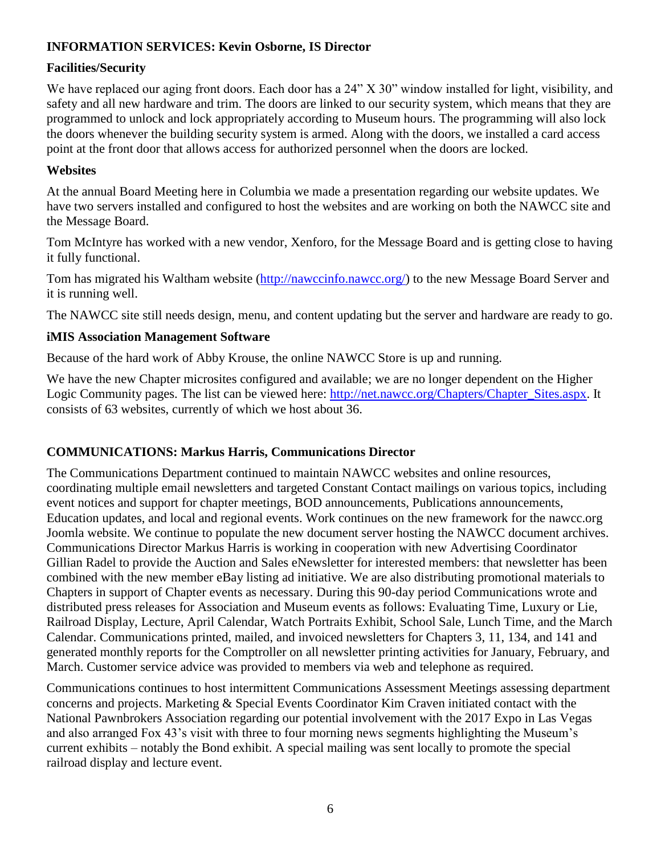# **INFORMATION SERVICES: Kevin Osborne, IS Director**

## **Facilities/Security**

We have replaced our aging front doors. Each door has a 24" X 30" window installed for light, visibility, and safety and all new hardware and trim. The doors are linked to our security system, which means that they are programmed to unlock and lock appropriately according to Museum hours. The programming will also lock the doors whenever the building security system is armed. Along with the doors, we installed a card access point at the front door that allows access for authorized personnel when the doors are locked.

#### **Websites**

At the annual Board Meeting here in Columbia we made a presentation regarding our website updates. We have two servers installed and configured to host the websites and are working on both the NAWCC site and the Message Board.

Tom McIntyre has worked with a new vendor, Xenforo, for the Message Board and is getting close to having it fully functional.

Tom has migrated his Waltham website [\(http://nawccinfo.nawcc.org/\)](http://nawccinfo.nawcc.org/) to the new Message Board Server and it is running well.

The NAWCC site still needs design, menu, and content updating but the server and hardware are ready to go.

#### **iMIS Association Management Software**

Because of the hard work of Abby Krouse, the online NAWCC Store is up and running.

We have the new Chapter microsites configured and available; we are no longer dependent on the Higher Logic Community pages. The list can be viewed here: http://net.nawcc.org/Chapters/Chapter Sites.aspx. It consists of 63 websites, currently of which we host about 36.

## **COMMUNICATIONS: Markus Harris, Communications Director**

The Communications Department continued to maintain NAWCC websites and online resources, coordinating multiple email newsletters and targeted Constant Contact mailings on various topics, including event notices and support for chapter meetings, BOD announcements, Publications announcements, Education updates, and local and regional events. Work continues on the new framework for the nawcc.org Joomla website. We continue to populate the new document server hosting the NAWCC document archives. Communications Director Markus Harris is working in cooperation with new Advertising Coordinator Gillian Radel to provide the Auction and Sales eNewsletter for interested members: that newsletter has been combined with the new member eBay listing ad initiative. We are also distributing promotional materials to Chapters in support of Chapter events as necessary. During this 90-day period Communications wrote and distributed press releases for Association and Museum events as follows: Evaluating Time, Luxury or Lie, Railroad Display, Lecture, April Calendar, Watch Portraits Exhibit, School Sale, Lunch Time, and the March Calendar. Communications printed, mailed, and invoiced newsletters for Chapters 3, 11, 134, and 141 and generated monthly reports for the Comptroller on all newsletter printing activities for January, February, and March. Customer service advice was provided to members via web and telephone as required.

Communications continues to host intermittent Communications Assessment Meetings assessing department concerns and projects. Marketing & Special Events Coordinator Kim Craven initiated contact with the National Pawnbrokers Association regarding our potential involvement with the 2017 Expo in Las Vegas and also arranged Fox 43's visit with three to four morning news segments highlighting the Museum's current exhibits – notably the Bond exhibit. A special mailing was sent locally to promote the special railroad display and lecture event.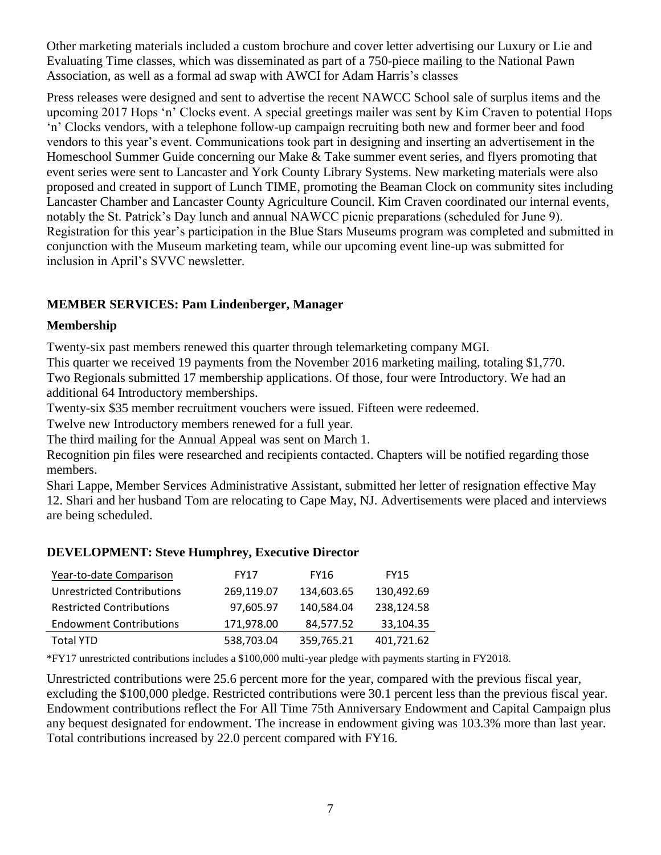Other marketing materials included a custom brochure and cover letter advertising our Luxury or Lie and Evaluating Time classes, which was disseminated as part of a 750-piece mailing to the National Pawn Association, as well as a formal ad swap with AWCI for Adam Harris's classes

Press releases were designed and sent to advertise the recent NAWCC School sale of surplus items and the upcoming 2017 Hops 'n' Clocks event. A special greetings mailer was sent by Kim Craven to potential Hops 'n' Clocks vendors, with a telephone follow-up campaign recruiting both new and former beer and food vendors to this year's event. Communications took part in designing and inserting an advertisement in the Homeschool Summer Guide concerning our Make & Take summer event series, and flyers promoting that event series were sent to Lancaster and York County Library Systems. New marketing materials were also proposed and created in support of Lunch TIME, promoting the Beaman Clock on community sites including Lancaster Chamber and Lancaster County Agriculture Council. Kim Craven coordinated our internal events, notably the St. Patrick's Day lunch and annual NAWCC picnic preparations (scheduled for June 9). Registration for this year's participation in the Blue Stars Museums program was completed and submitted in conjunction with the Museum marketing team, while our upcoming event line-up was submitted for inclusion in April's SVVC newsletter.

## **MEMBER SERVICES: Pam Lindenberger, Manager**

## **Membership**

Twenty-six past members renewed this quarter through telemarketing company MGI.

This quarter we received 19 payments from the November 2016 marketing mailing, totaling \$1,770. Two Regionals submitted 17 membership applications. Of those, four were Introductory. We had an additional 64 Introductory memberships.

Twenty-six \$35 member recruitment vouchers were issued. Fifteen were redeemed.

Twelve new Introductory members renewed for a full year.

The third mailing for the Annual Appeal was sent on March 1.

Recognition pin files were researched and recipients contacted. Chapters will be notified regarding those members.

Shari Lappe, Member Services Administrative Assistant, submitted her letter of resignation effective May 12. Shari and her husband Tom are relocating to Cape May, NJ. Advertisements were placed and interviews are being scheduled.

## **DEVELOPMENT: Steve Humphrey, Executive Director**

| Year-to-date Comparison           | <b>FY17</b> | FY16       | <b>FY15</b> |
|-----------------------------------|-------------|------------|-------------|
| <b>Unrestricted Contributions</b> | 269,119.07  | 134,603.65 | 130,492.69  |
| <b>Restricted Contributions</b>   | 97,605.97   | 140,584.04 | 238,124.58  |
| <b>Endowment Contributions</b>    | 171,978.00  | 84,577.52  | 33,104.35   |
| <b>Total YTD</b>                  | 538,703.04  | 359,765.21 | 401,721.62  |

\*FY17 unrestricted contributions includes a \$100,000 multi-year pledge with payments starting in FY2018.

Unrestricted contributions were 25.6 percent more for the year, compared with the previous fiscal year, excluding the \$100,000 pledge. Restricted contributions were 30.1 percent less than the previous fiscal year. Endowment contributions reflect the For All Time 75th Anniversary Endowment and Capital Campaign plus any bequest designated for endowment. The increase in endowment giving was 103.3% more than last year. Total contributions increased by 22.0 percent compared with FY16.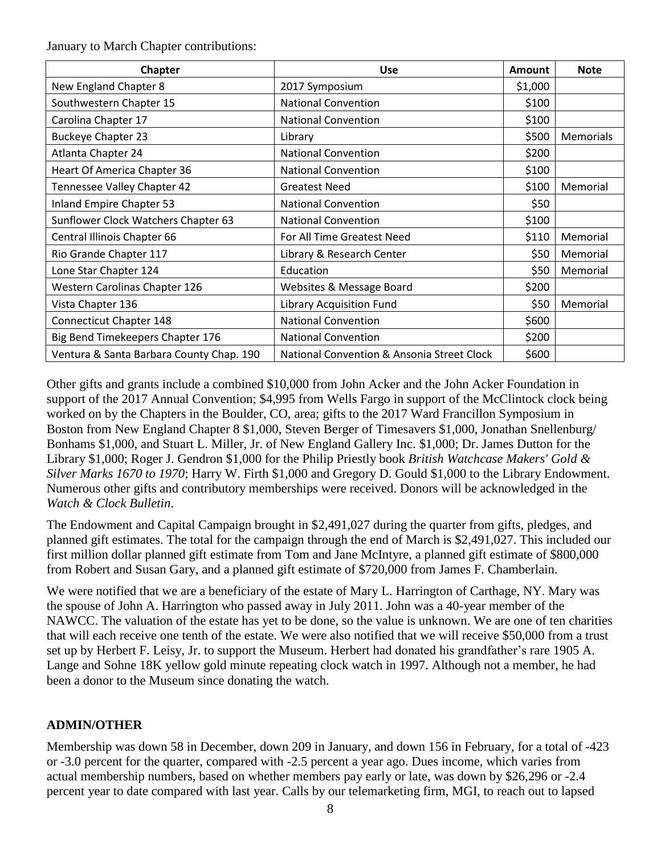January to March Chapter contributions:

| <b>Chapter</b>                           | <b>Use</b>                                 | Amount  | <b>Note</b>      |
|------------------------------------------|--------------------------------------------|---------|------------------|
| New England Chapter 8                    | 2017 Symposium                             | \$1,000 |                  |
| Southwestern Chapter 15                  | <b>National Convention</b>                 | \$100   |                  |
| Carolina Chapter 17                      | <b>National Convention</b>                 | \$100   |                  |
| <b>Buckeye Chapter 23</b>                | Library                                    | \$500   | <b>Memorials</b> |
| Atlanta Chapter 24                       | <b>National Convention</b>                 | \$200   |                  |
| Heart Of America Chapter 36              | <b>National Convention</b>                 | \$100   |                  |
| Tennessee Valley Chapter 42              | <b>Greatest Need</b>                       | \$100   | Memorial         |
| Inland Empire Chapter 53                 | <b>National Convention</b>                 | \$50    |                  |
| Sunflower Clock Watchers Chapter 63      | <b>National Convention</b>                 | \$100   |                  |
| Central Illinois Chapter 66              | For All Time Greatest Need                 | \$110   | Memorial         |
| Rio Grande Chapter 117                   | Library & Research Center                  | \$50    | Memorial         |
| Lone Star Chapter 124                    | Education                                  | \$50    | Memorial         |
| Western Carolinas Chapter 126            | Websites & Message Board                   | \$200   |                  |
| Vista Chapter 136                        | Library Acquisition Fund                   | \$50    | Memorial         |
| Connecticut Chapter 148                  | <b>National Convention</b>                 | \$600   |                  |
| Big Bend Timekeepers Chapter 176         | <b>National Convention</b>                 | \$200   |                  |
| Ventura & Santa Barbara County Chap. 190 | National Convention & Ansonia Street Clock | \$600   |                  |

Other gifts and grants include a combined \$10,000 from John Acker and the John Acker Foundation in support of the 2017 Annual Convention; \$4,995 from Wells Fargo in support of the McClintock clock being worked on by the Chapters in the Boulder, CO, area; gifts to the 2017 Ward Francillon Symposium in Boston from New England Chapter 8 \$1,000, Steven Berger of Timesavers \$1,000, Jonathan Snellenburg/ Bonhams \$1,000, and Stuart L. Miller, Jr. of New England Gallery Inc. \$1,000; Dr. James Dutton for the Library \$1,000; Roger J. Gendron \$1,000 for the Philip Priestly book *British Watchcase Makers' Gold & Silver Marks 1670 to 1970*; Harry W. Firth \$1,000 and Gregory D. Gould \$1,000 to the Library Endowment. Numerous other gifts and contributory memberships were received. Donors will be acknowledged in the *Watch & Clock Bulletin*.

The Endowment and Capital Campaign brought in \$2,491,027 during the quarter from gifts, pledges, and planned gift estimates. The total for the campaign through the end of March is \$2,491,027. This included our first million dollar planned gift estimate from Tom and Jane McIntyre, a planned gift estimate of \$800,000 from Robert and Susan Gary, and a planned gift estimate of \$720,000 from James F. Chamberlain.

We were notified that we are a beneficiary of the estate of Mary L. Harrington of Carthage, NY. Mary was the spouse of John A. Harrington who passed away in July 2011. John was a 40-year member of the NAWCC. The valuation of the estate has yet to be done, so the value is unknown. We are one of ten charities that will each receive one tenth of the estate. We were also notified that we will receive \$50,000 from a trust set up by Herbert F. Leisy, Jr. to support the Museum. Herbert had donated his grandfather's rare 1905 A. Lange and Sohne 18K yellow gold minute repeating clock watch in 1997. Although not a member, he had been a donor to the Museum since donating the watch.

# **ADMIN/OTHER**

Membership was down 58 in December, down 209 in January, and down 156 in February, for a total of -423 or -3.0 percent for the quarter, compared with -2.5 percent a year ago. Dues income, which varies from actual membership numbers, based on whether members pay early or late, was down by \$26,296 or -2.4 percent year to date compared with last year. Calls by our telemarketing firm, MGI, to reach out to lapsed